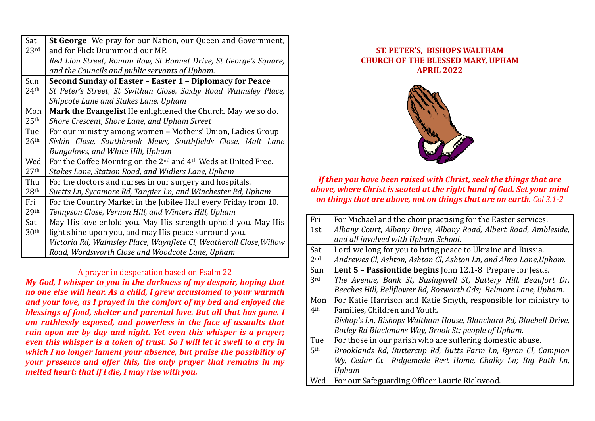| Sat              | St George We pray for our Nation, our Queen and Government,                            |
|------------------|----------------------------------------------------------------------------------------|
| 23 <sup>rd</sup> | and for Flick Drummond our MP.                                                         |
|                  | Red Lion Street, Roman Row, St Bonnet Drive, St George's Square,                       |
|                  | and the Councils and public servants of Upham.                                         |
| Sun              | Second Sunday of Easter - Easter 1 - Diplomacy for Peace                               |
| 24 <sup>th</sup> | St Peter's Street, St Swithun Close, Saxby Road Walmsley Place,                        |
|                  | Shipcote Lane and Stakes Lane, Upham                                                   |
| Mon              | Mark the Evangelist He enlightened the Church. May we so do.                           |
| 25 <sup>th</sup> | Shore Crescent, Shore Lane, and Upham Street                                           |
| Tue              | For our ministry among women - Mothers' Union, Ladies Group                            |
| 26 <sup>th</sup> | Siskin Close, Southbrook Mews, Southfields Close, Malt Lane                            |
|                  | Bungalows, and White Hill, Upham                                                       |
| Wed              | For the Coffee Morning on the 2 <sup>nd</sup> and 4 <sup>th</sup> Weds at United Free. |
| 27 <sup>th</sup> | Stakes Lane, Station Road, and Widlers Lane, Upham                                     |
| Thu              | For the doctors and nurses in our surgery and hospitals.                               |
| 28 <sup>th</sup> | Suetts Ln, Sycamore Rd, Tangier Ln, and Winchester Rd, Upham                           |
| Fri              | For the Country Market in the Jubilee Hall every Friday from 10.                       |
| 29 <sup>th</sup> | Tennyson Close, Vernon Hill, and Winters Hill, Upham                                   |
| Sat              | May His love enfold you. May His strength uphold you. May His                          |
| 30 <sup>th</sup> | light shine upon you, and may His peace surround you.                                  |
|                  | Victoria Rd, Walmsley Place, Waynflete Cl, Weatherall Close, Willow                    |
|                  | Road, Wordsworth Close and Woodcote Lane, Upham                                        |

## A prayer in desperation based on Psalm 22

*My God, I whisper to you in the darkness of my despair, hoping that no one else will hear. As a child, I grew accustomed to your warmth and your love, as I prayed in the comfort of my bed and enjoyed the blessings of food, shelter and parental love. But all that has gone. I am ruthlessly exposed, and powerless in the face of assaults that rain upon me by day and night. Yet even this whisper is a prayer; even this whisper is a token of trust. So I will let it swell to a cry in which I no longer lament your absence, but praise the possibility of your presence and offer this, the only prayer that remains in my melted heart: that if I die, I may rise with you.*

## **ST. PETER'S, BISHOPS WALTHAM CHURCH OF THE BLESSED MARY, UPHAM APRIL 2022**



## *If then you have been raised with Christ, seek the things that are above, where Christ is seated at the right hand of God. Set your mind on things that are above, not on things that are on earth. Col 3.1-2*

| Fri             | For Michael and the choir practising for the Easter services.     |
|-----------------|-------------------------------------------------------------------|
| 1st             | Albany Court, Albany Drive, Albany Road, Albert Road, Ambleside,  |
|                 | and all involved with Upham School.                               |
| Sat             | Lord we long for you to bring peace to Ukraine and Russia.        |
| 2 <sub>nd</sub> | Andrewes Cl, Ashton, Ashton Cl, Ashton Ln, and Alma Lane, Upham.  |
| Sun             | Lent 5 - Passiontide begins John 12.1-8 Prepare for Jesus.        |
| 3rd             | The Avenue, Bank St, Basingwell St, Battery Hill, Beaufort Dr,    |
|                 | Beeches Hill, Bellflower Rd, Bosworth Gds; Belmore Lane, Upham.   |
| Mon             | For Katie Harrison and Katie Smyth, responsible for ministry to   |
| 4 <sup>th</sup> | Families, Children and Youth.                                     |
|                 | Bishop's Ln, Bishops Waltham House, Blanchard Rd, Bluebell Drive, |
|                 | Botley Rd Blackmans Way, Brook St; people of Upham.               |
| Tue             | For those in our parish who are suffering domestic abuse.         |
| 5 <sup>th</sup> | Brooklands Rd, Buttercup Rd, Butts Farm Ln, Byron Cl, Campion     |
|                 | Wy, Cedar Ct Ridgemede Rest Home, Chalky Ln; Big Path Ln,         |
|                 | Upham                                                             |
| Wed             | For our Safeguarding Officer Laurie Rickwood.                     |